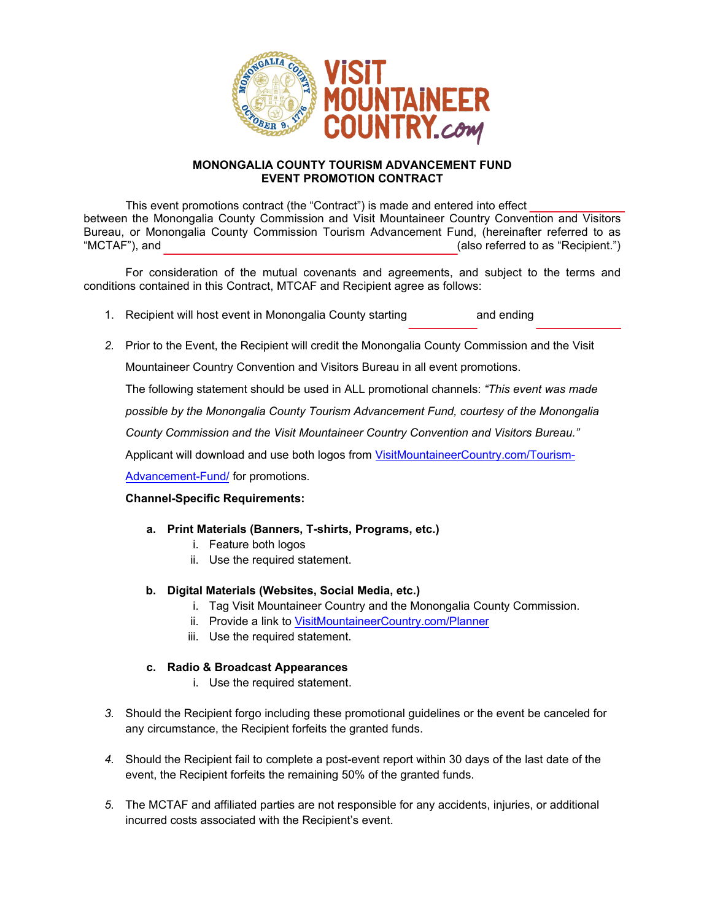

## **MONONGALIA COUNTY TOURISM ADVANCEMENT FUND EVENT PROMOTION CONTRACT**

This event promotions contract (the "Contract") is made and entered into effect between the Monongalia County Commission and Visit Mountaineer Country Convention and Visitors Bureau, or Monongalia County Commission Tourism Advancement Fund, (hereinafter referred to as "MCTAF"), and  $(abc - bc)$  and  $b - ac$  are  $c - ac$  (also referred to as "Recipient.")

For consideration of the mutual covenants and agreements, and subject to the terms and conditions contained in this Contract, MTCAF and Recipient agree as follows:

- 1. Recipient will host event in Monongalia County starting and ending
- *2.* Prior to the Event, the Recipient will credit the Monongalia County Commission and the Visit

Mountaineer Country Convention and Visitors Bureau in all event promotions.

The following statement should be used in ALL promotional channels: *"This event was made*

*possible by the Monongalia County Tourism Advancement Fund, courtesy of the Monongalia*

*County Commission and the Visit Mountaineer Country Convention and Visitors Bureau."*

Applicant will download and use both logos from VisitMountaineerCountry.com/Tourism-

Advancement-Fund/ for promotions.

## **Channel-Specific Requirements:**

- **a. Print Materials (Banners, T-shirts, Programs, etc.)**
	- i. Feature both logos
	- ii. Use the required statement.
- **b. Digital Materials (Websites, Social Media, etc.)**
	- i. Tag Visit Mountaineer Country and the Monongalia County Commission.
	- ii. Provide a link to [VisitMountaineerCountry.com/](visitmountaineercountry.com/planner)Planner
	- iii. Use the required statement.

## **c. Radio & Broadcast Appearances**

- i. Use the required statement.
- *3.* Should the Recipient forgo including these promotional guidelines or the event be canceled for any circumstance, the Recipient forfeits the granted funds.
- *4.* Should the Recipient fail to complete a post-event report within 30 days of the last date of the event, the Recipient forfeits the remaining 50% of the granted funds.
- *5.* The MCTAF and affiliated parties are not responsible for any accidents, injuries, or additional incurred costs associated with the Recipient's event.